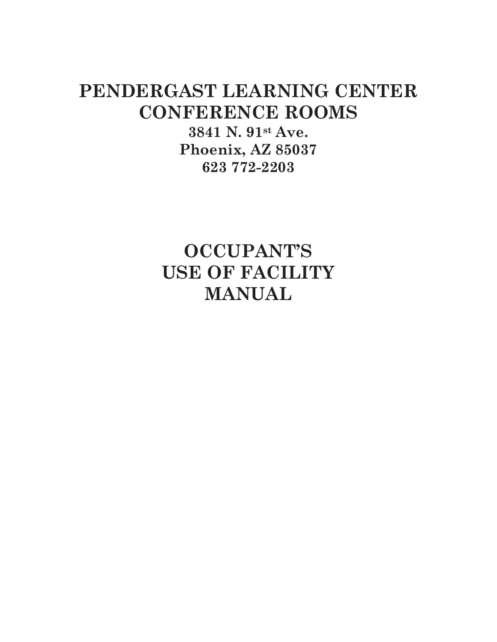# **PENDERGAST LEARNING CENTER CONFERENCE ROOMS**

**3841 N. 91st Ave. Phoenix, AZ 85037 623 772-2203** 

**OCCUPANT'S USE OF FACILITY MANUAL**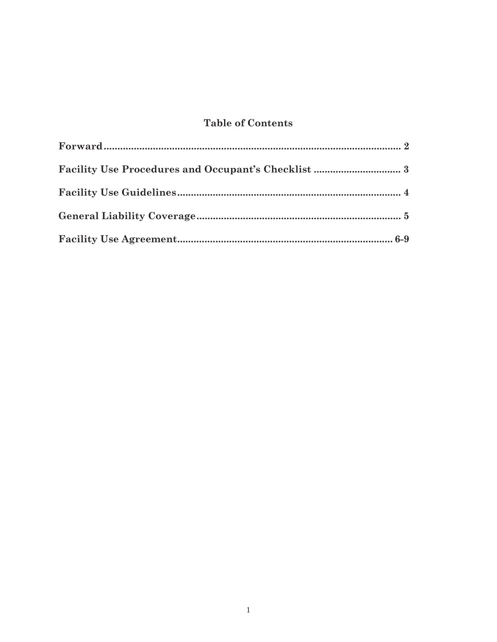# **Table of Contents**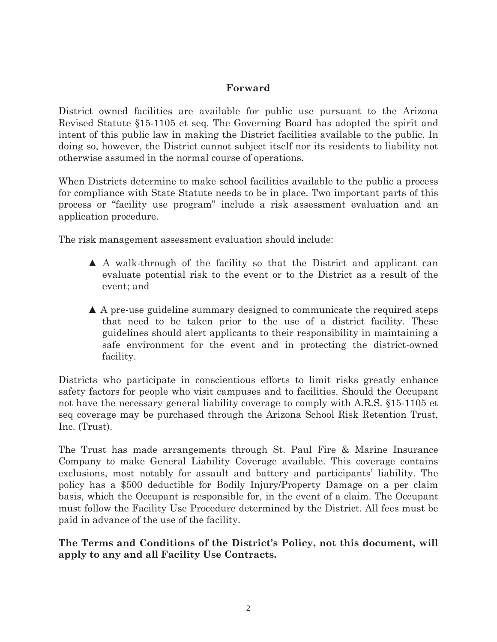# **Forward**

District owned facilities are available for public use pursuant to the Arizona Revised Statute §15-1105 et seq. The Governing Board has adopted the spirit and intent of this public law in making the District facilities available to the public. In doing so, however, the District cannot subject itself nor its residents to liability not otherwise assumed in the normal course of operations.

When Districts determine to make school facilities available to the public a process for compliance with State Statute needs to be in place. Two important parts of this process or "facility use program" include a risk assessment evaluation and an application procedure.

The risk management assessment evaluation should include:

- **▲** A walk-through of the facility so that the District and applicant can evaluate potential risk to the event or to the District as a result of the event; and
- ʆ A pre-use guideline summary designed to communicate the required steps that need to be taken prior to the use of a district facility. These guidelines should alert applicants to their responsibility in maintaining a safe environment for the event and in protecting the district-owned facility.

Districts who participate in conscientious efforts to limit risks greatly enhance safety factors for people who visit campuses and to facilities. Should the Occupant not have the necessary general liability coverage to comply with A.R.S. §15-1105 et seq coverage may be purchased through the Arizona School Risk Retention Trust, Inc. (Trust).

The Trust has made arrangements through St. Paul Fire & Marine Insurance Company to make General Liability Coverage available. This coverage contains exclusions, most notably for assault and battery and participants' liability. The policy has a \$500 deductible for Bodily Injury/Property Damage on a per claim basis, which the Occupant is responsible for, in the event of a claim. The Occupant must follow the Facility Use Procedure determined by the District. All fees must be paid in advance of the use of the facility.

**The Terms and Conditions of the District's Policy, not this document, will apply to any and all Facility Use Contracts.**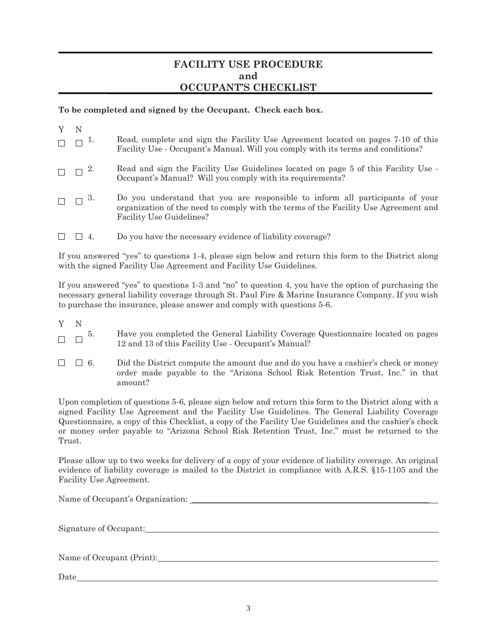## **FACILITY USE PROCEDURE and OCCUPANT'S CHECKLIST**

## **To be completed and signed by the Occupant. Check each box.**

| $\Box$ $\Box$ $\Box$ | Read, complete and sign the Facility Use Agreement located on pages 7-10 of this<br>Facility Use - Occupant's Manual. Will you comply with its terms and conditions?                                    |
|----------------------|---------------------------------------------------------------------------------------------------------------------------------------------------------------------------------------------------------|
| $\Box$ $\Box$ $^{2}$ | Read and sign the Facility Use Guidelines located on page 5 of this Facility Use -<br>Occupant's Manual? Will you comply with its requirements?                                                         |
| $\Box$ $\Box$ 3.     | Do you understand that you are responsible to inform all participants of your<br>organization of the need to comply with the terms of the Facility Use Agreement and<br><b>Facility Use Guidelines?</b> |
|                      | Do you have the necessary evidence of liability coverage?                                                                                                                                               |

If you answered "yes" to questions 1-4, please sign below and return this form to the District along with the signed Facility Use Agreement and Facility Use Guidelines.

If you answered "yes" to questions 1-3 and "no" to question 4, you have the option of purchasing the necessary general liability coverage through St. Paul Fire & Marine Insurance Company. If you wish to purchase the insurance, please answer and comply with questions 5-6.

- 
- Y N<br> $\Box$   $\Box$  5. 5. Have you completed the General Liability Coverage Questionnaire located on pages  $\Box$ 12 and 13 of this Facility Use - Occupant's Manual?
- $\Box$  6. Did the District compute the amount due and do you have a cashier's check or money  $\Box$ order made payable to the "Arizona School Risk Retention Trust, Inc." in that amount?

Upon completion of questions 5-6, please sign below and return this form to the District along with a signed Facility Use Agreement and the Facility Use Guidelines. The General Liability Coverage Questionnaire, a copy of this Checklist, a copy of the Facility Use Guidelines and the cashier's check or money order payable to "Arizona School Risk Retention Trust, Inc." must be returned to the Trust.

Please allow up to two weeks for delivery of a copy of your evidence of liability coverage. An original evidence of liability coverage is mailed to the District in compliance with A.R.S. §15-1105 and the Facility Use Agreement.

Name of Occupant's Organization: \_\_\_\_\_\_\_\_\_\_\_\_\_\_\_\_\_\_\_\_\_\_\_\_\_\_\_\_\_\_\_\_\_\_\_\_\_\_\_\_\_\_\_\_\_\_\_\_\_\_\_\_\_\_\_\_\_\_ Signature of Occupant: Name of Occupant (Print): Name of Occupant (Print):

Date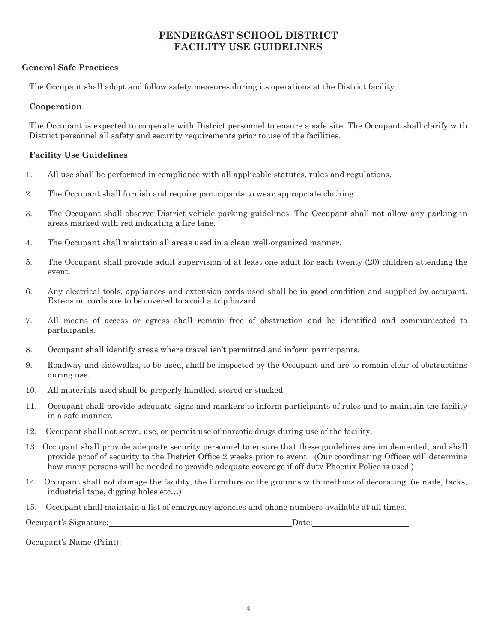# **PENDERGAST SCHOOL DISTRICT FACILITY USE GUIDELINES**

## **General Safe Practices**

The Occupant shall adopt and follow safety measures during its operations at the District facility.

## **Cooperation**

The Occupant is expected to cooperate with District personnel to ensure a safe site. The Occupant shall clarify with District personnel all safety and security requirements prior to use of the facilities.

## **Facility Use Guidelines**

- 1. All use shall be performed in compliance with all applicable statutes, rules and regulations.
- 2. The Occupant shall furnish and require participants to wear appropriate clothing.
- 3. The Occupant shall observe District vehicle parking guidelines. The Occupant shall not allow any parking in areas marked with red indicating a fire lane.
- 4. The Occupant shall maintain all areas used in a clean well-organized manner.
- 5. The Occupant shall provide adult supervision of at least one adult for each twenty (20) children attending the event.
- 6. Any electrical tools, appliances and extension cords used shall be in good condition and supplied by occupant. Extension cords are to be covered to avoid a trip hazard.
- 7. All means of access or egress shall remain free of obstruction and be identified and communicated to participants.
- 8. Occupant shall identify areas where travel isn't permitted and inform participants.
- 9. Roadway and sidewalks, to be used, shall be inspected by the Occupant and are to remain clear of obstructions during use.
- 10. All materials used shall be properly handled, stored or stacked.
- 11. Occupant shall provide adequate signs and markers to inform participants of rules and to maintain the facility in a safe manner.
- 12. Occupant shall not serve, use, or permit use of narcotic drugs during use of the facility.
- 13. Occupant shall provide adequate security personnel to ensure that these guidelines are implemented, and shall provide proof of security to the District Office 2 weeks prior to event. (Our coordinating Officer will determine how many persons will be needed to provide adequate coverage if off duty Phoenix Police is used.)
- 14. Occupant shall not damage the facility, the furniture or the grounds with methods of decorating. (ie nails, tacks, industrial tape, digging holes etc…)
- 15. Occupant shall maintain a list of emergency agencies and phone numbers available at all times.

| Occupant's Signature:    | Date: |  |
|--------------------------|-------|--|
| Occupant's Name (Print): |       |  |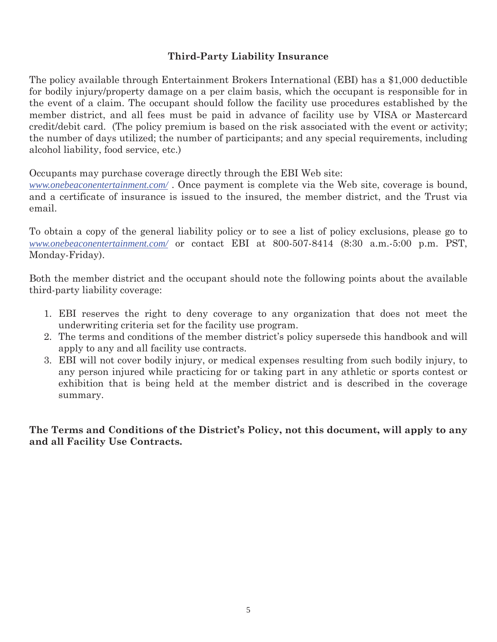# **Third-Party Liability Insurance**

The policy available through Entertainment Brokers International (EBI) has a \$1,000 deductible for bodily injury/property damage on a per claim basis, which the occupant is responsible for in the event of a claim. The occupant should follow the facility use procedures established by the member district, and all fees must be paid in advance of facility use by VISA or Mastercard credit/debit card. (The policy premium is based on the risk associated with the event or activity; the number of days utilized; the number of participants; and any special requirements, including alcohol liability, food service, etc.)

Occupants may purchase coverage directly through the EBI Web site:

*www.onebeaconentertainment.com/* . Once payment is complete via the Web site, coverage is bound, and a certificate of insurance is issued to the insured, the member district, and the Trust via email.

To obtain a copy of the general liability policy or to see a list of policy exclusions, please go to *www.onebeaconentertainment.com/* or contact EBI at 800-507-8414 (8:30 a.m.-5:00 p.m. PST, Monday-Friday).

Both the member district and the occupant should note the following points about the available third-party liability coverage:

- 1. EBI reserves the right to deny coverage to any organization that does not meet the underwriting criteria set for the facility use program.
- 2. The terms and conditions of the member district's policy supersede this handbook and will apply to any and all facility use contracts.
- 3. EBI will not cover bodily injury, or medical expenses resulting from such bodily injury, to any person injured while practicing for or taking part in any athletic or sports contest or exhibition that is being held at the member district and is described in the coverage summary.

**The Terms and Conditions of the District's Policy, not this document, will apply to any and all Facility Use Contracts.**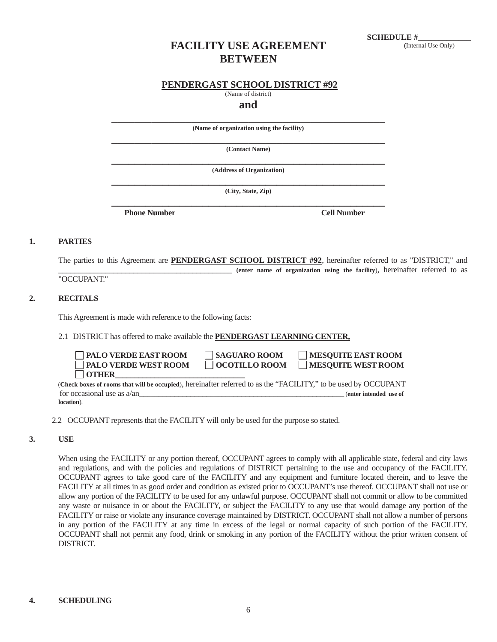# **FACILITY USE AGREEMENT BETWEEN**

## **PENDERGAST SCHOOL DISTRICT #92**

(Name of district)

**and**

**\_\_\_\_\_\_\_\_\_\_\_\_\_\_\_\_\_\_\_\_\_\_\_\_\_\_\_\_\_\_\_\_\_\_\_\_\_\_\_\_\_\_\_\_\_\_\_\_ (Name of organization using the facility)** 

**\_\_\_\_\_\_\_\_\_\_\_\_\_\_\_\_\_\_\_\_\_\_\_\_\_\_\_\_\_\_\_\_\_\_\_\_\_\_\_\_\_\_\_\_\_\_\_\_ (Contact Name)** 

**\_\_\_\_\_\_\_\_\_\_\_\_\_\_\_\_\_\_\_\_\_\_\_\_\_\_\_\_\_\_\_\_\_\_\_\_\_\_\_\_\_\_\_\_\_\_\_\_ (Address of Organization)** 

**\_\_\_\_\_\_\_\_\_\_\_\_\_\_\_\_\_\_\_\_\_\_\_\_\_\_\_\_\_\_\_\_\_\_\_\_\_\_\_\_\_\_\_\_\_\_\_\_ (City, State, Zip) \_\_\_\_\_\_\_\_\_\_\_\_\_\_\_\_\_\_\_\_\_\_\_\_\_\_\_\_\_\_\_\_\_\_\_\_\_\_\_\_\_\_\_\_\_\_\_\_**

**Phone Number Cell Number** 

#### **1. PARTIES**

The parties to this Agreement are **PENDERGAST SCHOOL DISTRICT #92**, hereinafter referred to as "DISTRICT," and \_\_\_\_\_\_\_\_\_\_\_\_\_\_\_\_\_\_\_\_\_\_\_\_\_\_\_\_\_\_\_\_\_\_\_\_\_\_\_\_\_\_\_\_ **(enter name of organization using the facility**), hereinafter referred to as

"OCCUPANT."

### **2. RECITALS**

This Agreement is made with reference to the following facts:

#### 2.1 DISTRICT has offered to make available the **PENDERGAST LEARNING CENTER,**

| $\Box$ PALO VERDE EAST ROOM | $\Box$ SAGUARO ROOM  | MESQUITE EAST ROOM                                                                                                                                                                                                                                                                                                                           |
|-----------------------------|----------------------|----------------------------------------------------------------------------------------------------------------------------------------------------------------------------------------------------------------------------------------------------------------------------------------------------------------------------------------------|
| <b>PALO VERDE WEST ROOM</b> | $\Box$ OCOTILLO ROOM | MESQUITE WEST ROOM                                                                                                                                                                                                                                                                                                                           |
| $\Box$ OTHER                |                      |                                                                                                                                                                                                                                                                                                                                              |
|                             |                      | $\ldots$ $\ldots$ $\ldots$ $\ldots$ $\ldots$ $\ldots$ $\ldots$ $\ldots$ $\ldots$ $\ldots$ $\ldots$ $\ldots$ $\ldots$ $\ldots$ $\ldots$ $\ldots$ $\ldots$ $\ldots$ $\ldots$ $\ldots$ $\ldots$ $\ldots$ $\ldots$ $\ldots$ $\ldots$ $\ldots$ $\ldots$ $\ldots$ $\ldots$ $\ldots$ $\ldots$ $\ldots$ $\ldots$ $\ldots$ $\ldots$ $\ldots$ $\ldots$ |

 (**Check boxes of rooms that will be occupied**), hereinafter referred to as the "FACILITY," to be used by OCCUPANT for occasional use as a/an **location**).

#### **3. USE**

When using the FACILITY or any portion thereof, OCCUPANT agrees to comply with all applicable state, federal and city laws and regulations, and with the policies and regulations of DISTRICT pertaining to the use and occupancy of the FACILITY. OCCUPANT agrees to take good care of the FACILITY and any equipment and furniture located therein, and to leave the FACILITY at all times in as good order and condition as existed prior to OCCUPANT's use thereof. OCCUPANT shall not use or allow any portion of the FACILITY to be used for any unlawful purpose. OCCUPANT shall not commit or allow to be committed any waste or nuisance in or about the FACILITY, or subject the FACILITY to any use that would damage any portion of the FACILITY or raise or violate any insurance coverage maintained by DISTRICT. OCCUPANT shall not allow a number of persons in any portion of the FACILITY at any time in excess of the legal or normal capacity of such portion of the FACILITY. OCCUPANT shall not permit any food, drink or smoking in any portion of the FACILITY without the prior written consent of DISTRICT.

 <sup>2.2</sup> OCCUPANT represents that the FACILITY will only be used for the purpose so stated.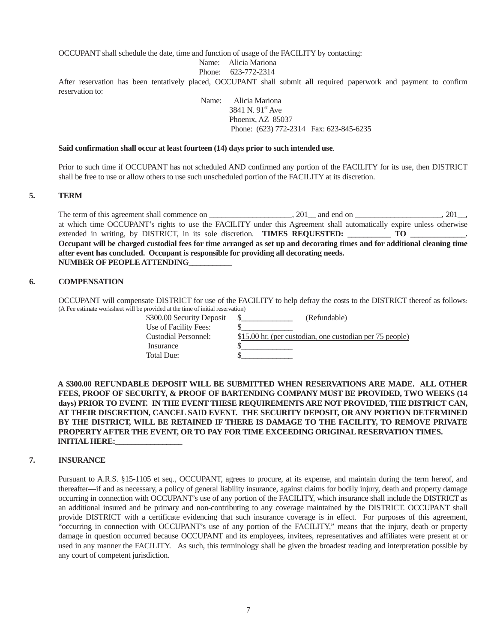OCCUPANT shall schedule the date, time and function of usage of the FACILITY by contacting:

Name: Alicia Mariona

Phone: 623-772-2314

After reservation has been tentatively placed, OCCUPANT shall submit **all** required paperwork and payment to confirm reservation to:

> Name: Alicia Mariona 3841 N.  $91^{st}$  Ave Phoenix, AZ 85037 Phone: (623) 772-2314 Fax: 623-845-6235

#### **Said confirmation shall occur at least fourteen (14) days prior to such intended use**.

Prior to such time if OCCUPANT has not scheduled AND confirmed any portion of the FACILITY for its use, then DISTRICT shall be free to use or allow others to use such unscheduled portion of the FACILITY at its discretion.

#### **5. TERM**

The term of this agreement shall commence on \_\_\_\_\_\_\_\_\_\_\_\_\_\_\_, 201\_\_, and end on \_\_\_\_\_\_\_\_\_\_\_\_\_\_\_\_\_\_\_, 201\_\_, at which time OCCUPANT's rights to use the FACILITY under this Agreement shall automatically expire unless otherwise extended in writing, by DISTRICT, in its sole discretion. **TIMES REQUESTED:** \_\_\_\_\_\_\_\_\_\_\_ TO \_\_\_\_\_\_\_\_\_\_\_\_\_\_. **Occupant will be charged custodial fees for time arranged as set up and decorating times and for additional cleaning time after event has concluded. Occupant is responsible for providing all decorating needs. NUMBER OF PEOPLE ATTENDING\_\_\_\_\_\_\_\_\_\_\_** 

#### **6. COMPENSATION**

 OCCUPANT will compensate DISTRICT for use of the FACILITY to help defray the costs to the DISTRICT thereof as follows: (A Fee estimate worksheet will be provided at the time of initial reservation)

| \$300.00 Security Deposit |                       |
|---------------------------|-----------------------|
| Use of Facility Fees:     |                       |
| Custodial Personnel:      | $$15.00$ hr. (per cus |
| Insurance                 |                       |
| Total Due:                |                       |
|                           |                       |

(Refundable) n. (per custodian, one custodian per 75 people)

**A \$300.00 REFUNDABLE DEPOSIT WILL BE SUBMITTED WHEN RESERVATIONS ARE MADE. ALL OTHER FEES, PROOF OF SECURITY, & PROOF OF BARTENDING COMPANY MUST BE PROVIDED, TWO WEEKS (14 days) PRIOR TO EVENT. IN THE EVENT THESE REQUIREMENTS ARE NOT PROVIDED, THE DISTRICT CAN, AT THEIR DISCRETION, CANCEL SAID EVENT. THE SECURITY DEPOSIT, OR ANY PORTION DETERMINED BY THE DISTRICT, WILL BE RETAINED IF THERE IS DAMAGE TO THE FACILITY, TO REMOVE PRIVATE PROPERTY AFTER THE EVENT, OR TO PAY FOR TIME EXCEEDING ORIGINAL RESERVATION TIMES. INITIAL HERE:** 

#### **7. INSURANCE**

Pursuant to A.R.S. §15-1105 et seq., OCCUPANT, agrees to procure, at its expense, and maintain during the term hereof, and thereafter—if and as necessary, a policy of general liability insurance, against claims for bodily injury, death and property damage occurring in connection with OCCUPANT's use of any portion of the FACILITY, which insurance shall include the DISTRICT as an additional insured and be primary and non-contributing to any coverage maintained by the DISTRICT. OCCUPANT shall provide DISTRICT with a certificate evidencing that such insurance coverage is in effect. For purposes of this agreement, "occurring in connection with OCCUPANT's use of any portion of the FACILITY," means that the injury, death or property damage in question occurred because OCCUPANT and its employees, invitees, representatives and affiliates were present at or used in any manner the FACILITY. As such, this terminology shall be given the broadest reading and interpretation possible by any court of competent jurisdiction.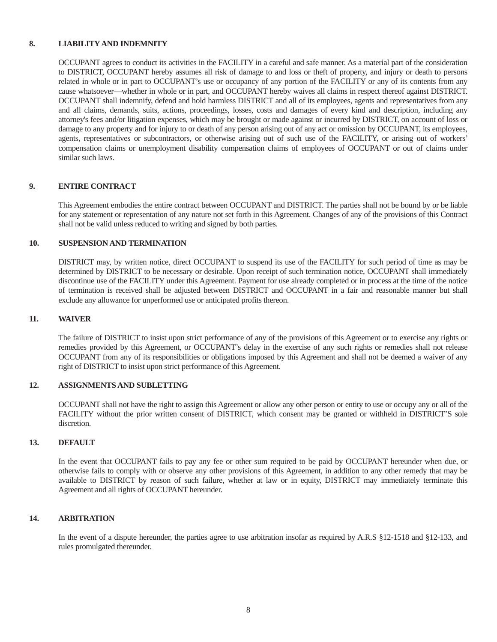#### **8. LIABILITY AND INDEMNITY**

OCCUPANT agrees to conduct its activities in the FACILITY in a careful and safe manner. As a material part of the consideration to DISTRICT, OCCUPANT hereby assumes all risk of damage to and loss or theft of property, and injury or death to persons related in whole or in part to OCCUPANT's use or occupancy of any portion of the FACILITY or any of its contents from any cause whatsoever—whether in whole or in part, and OCCUPANT hereby waives all claims in respect thereof against DISTRICT. OCCUPANT shall indemnify, defend and hold harmless DISTRICT and all of its employees, agents and representatives from any and all claims, demands, suits, actions, proceedings, losses, costs and damages of every kind and description, including any attorney's fees and/or litigation expenses, which may be brought or made against or incurred by DISTRICT, on account of loss or damage to any property and for injury to or death of any person arising out of any act or omission by OCCUPANT, its employees, agents, representatives or subcontractors, or otherwise arising out of such use of the FACILITY, or arising out of workers' compensation claims or unemployment disability compensation claims of employees of OCCUPANT or out of claims under similar such laws.

#### **9. ENTIRE CONTRACT**

This Agreement embodies the entire contract between OCCUPANT and DISTRICT. The parties shall not be bound by or be liable for any statement or representation of any nature not set forth in this Agreement. Changes of any of the provisions of this Contract shall not be valid unless reduced to writing and signed by both parties.

#### **10. SUSPENSION AND TERMINATION**

DISTRICT may, by written notice, direct OCCUPANT to suspend its use of the FACILITY for such period of time as may be determined by DISTRICT to be necessary or desirable. Upon receipt of such termination notice, OCCUPANT shall immediately discontinue use of the FACILITY under this Agreement. Payment for use already completed or in process at the time of the notice of termination is received shall be adjusted between DISTRICT and OCCUPANT in a fair and reasonable manner but shall exclude any allowance for unperformed use or anticipated profits thereon.

#### **11. WAIVER**

The failure of DISTRICT to insist upon strict performance of any of the provisions of this Agreement or to exercise any rights or remedies provided by this Agreement, or OCCUPANT's delay in the exercise of any such rights or remedies shall not release OCCUPANT from any of its responsibilities or obligations imposed by this Agreement and shall not be deemed a waiver of any right of DISTRICT to insist upon strict performance of this Agreement.

#### **12. ASSIGNMENTS AND SUBLETTING**

OCCUPANT shall not have the right to assign this Agreement or allow any other person or entity to use or occupy any or all of the FACILITY without the prior written consent of DISTRICT, which consent may be granted or withheld in DISTRICT'S sole discretion.

#### **13. DEFAULT**

In the event that OCCUPANT fails to pay any fee or other sum required to be paid by OCCUPANT hereunder when due, or otherwise fails to comply with or observe any other provisions of this Agreement, in addition to any other remedy that may be available to DISTRICT by reason of such failure, whether at law or in equity, DISTRICT may immediately terminate this Agreement and all rights of OCCUPANT hereunder.

#### **14. ARBITRATION**

In the event of a dispute hereunder, the parties agree to use arbitration insofar as required by A.R.S §12-1518 and §12-133, and rules promulgated thereunder.